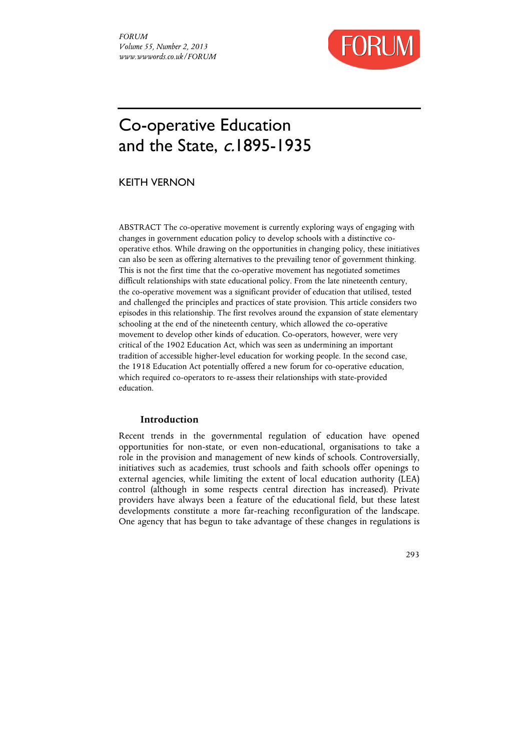

# Co-operative Education and the State, c.1895-1935

KEITH VERNON

ABSTRACT The co-operative movement is currently exploring ways of engaging with changes in government education policy to develop schools with a distinctive cooperative ethos. While drawing on the opportunities in changing policy, these initiatives can also be seen as offering alternatives to the prevailing tenor of government thinking. This is not the first time that the co-operative movement has negotiated sometimes difficult relationships with state educational policy. From the late nineteenth century, the co-operative movement was a significant provider of education that utilised, tested and challenged the principles and practices of state provision. This article considers two episodes in this relationship. The first revolves around the expansion of state elementary schooling at the end of the nineteenth century, which allowed the co-operative movement to develop other kinds of education. Co-operators, however, were very critical of the 1902 Education Act, which was seen as undermining an important tradition of accessible higher-level education for working people. In the second case, the 1918 Education Act potentially offered a new forum for co-operative education, which required co-operators to re-assess their relationships with state-provided education.

## **Introduction**

Recent trends in the governmental regulation of education have opened opportunities for non-state, or even non-educational, organisations to take a role in the provision and management of new kinds of schools. Controversially, initiatives such as academies, trust schools and faith schools offer openings to external agencies, while limiting the extent of local education authority (LEA) control (although in some respects central direction has increased). Private providers have always been a feature of the educational field, but these latest developments constitute a more far-reaching reconfiguration of the landscape. One agency that has begun to take advantage of these changes in regulations is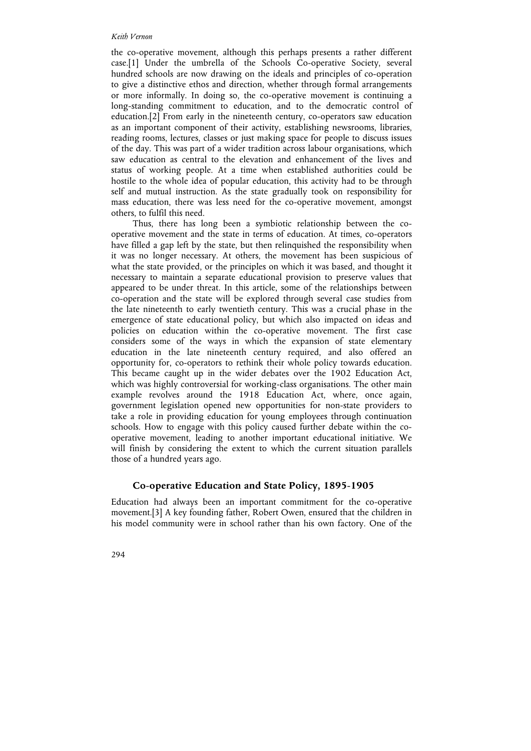the co-operative movement, although this perhaps presents a rather different case.[1] Under the umbrella of the Schools Co-operative Society, several hundred schools are now drawing on the ideals and principles of co-operation to give a distinctive ethos and direction, whether through formal arrangements or more informally. In doing so, the co-operative movement is continuing a long-standing commitment to education, and to the democratic control of education.[2] From early in the nineteenth century, co-operators saw education as an important component of their activity, establishing newsrooms, libraries, reading rooms, lectures, classes or just making space for people to discuss issues of the day. This was part of a wider tradition across labour organisations, which saw education as central to the elevation and enhancement of the lives and status of working people. At a time when established authorities could be hostile to the whole idea of popular education, this activity had to be through self and mutual instruction. As the state gradually took on responsibility for mass education, there was less need for the co-operative movement, amongst others, to fulfil this need.

Thus, there has long been a symbiotic relationship between the cooperative movement and the state in terms of education. At times, co-operators have filled a gap left by the state, but then relinquished the responsibility when it was no longer necessary. At others, the movement has been suspicious of what the state provided, or the principles on which it was based, and thought it necessary to maintain a separate educational provision to preserve values that appeared to be under threat. In this article, some of the relationships between co-operation and the state will be explored through several case studies from the late nineteenth to early twentieth century. This was a crucial phase in the emergence of state educational policy, but which also impacted on ideas and policies on education within the co-operative movement. The first case considers some of the ways in which the expansion of state elementary education in the late nineteenth century required, and also offered an opportunity for, co-operators to rethink their whole policy towards education. This became caught up in the wider debates over the 1902 Education Act, which was highly controversial for working-class organisations. The other main example revolves around the 1918 Education Act, where, once again, government legislation opened new opportunities for non-state providers to take a role in providing education for young employees through continuation schools. How to engage with this policy caused further debate within the cooperative movement, leading to another important educational initiative. We will finish by considering the extent to which the current situation parallels those of a hundred years ago.

## **Co-operative Education and State Policy, 1895-1905**

Education had always been an important commitment for the co-operative movement.[3] A key founding father, Robert Owen, ensured that the children in his model community were in school rather than his own factory. One of the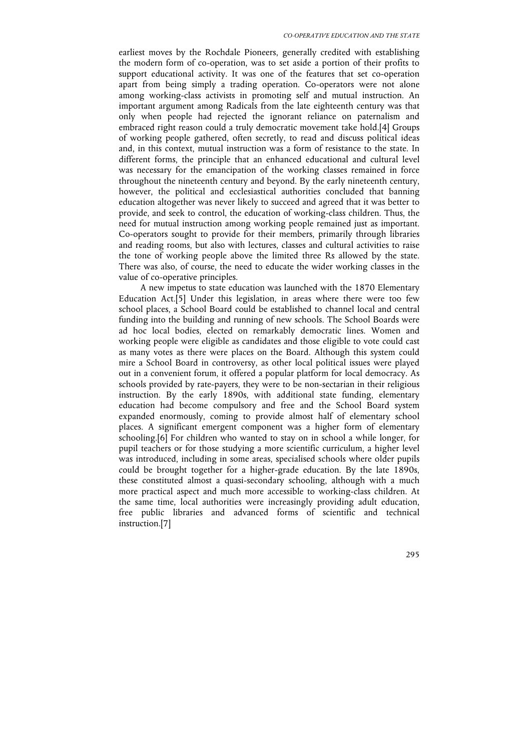earliest moves by the Rochdale Pioneers, generally credited with establishing the modern form of co-operation, was to set aside a portion of their profits to support educational activity. It was one of the features that set co-operation apart from being simply a trading operation. Co-operators were not alone among working-class activists in promoting self and mutual instruction. An important argument among Radicals from the late eighteenth century was that only when people had rejected the ignorant reliance on paternalism and embraced right reason could a truly democratic movement take hold.[4] Groups of working people gathered, often secretly, to read and discuss political ideas and, in this context, mutual instruction was a form of resistance to the state. In different forms, the principle that an enhanced educational and cultural level was necessary for the emancipation of the working classes remained in force throughout the nineteenth century and beyond. By the early nineteenth century, however, the political and ecclesiastical authorities concluded that banning education altogether was never likely to succeed and agreed that it was better to provide, and seek to control, the education of working-class children. Thus, the need for mutual instruction among working people remained just as important. Co-operators sought to provide for their members, primarily through libraries and reading rooms, but also with lectures, classes and cultural activities to raise the tone of working people above the limited three Rs allowed by the state. There was also, of course, the need to educate the wider working classes in the value of co-operative principles.

A new impetus to state education was launched with the 1870 Elementary Education Act.[5] Under this legislation, in areas where there were too few school places, a School Board could be established to channel local and central funding into the building and running of new schools. The School Boards were ad hoc local bodies, elected on remarkably democratic lines. Women and working people were eligible as candidates and those eligible to vote could cast as many votes as there were places on the Board. Although this system could mire a School Board in controversy, as other local political issues were played out in a convenient forum, it offered a popular platform for local democracy. As schools provided by rate-payers, they were to be non-sectarian in their religious instruction. By the early 1890s, with additional state funding, elementary education had become compulsory and free and the School Board system expanded enormously, coming to provide almost half of elementary school places. A significant emergent component was a higher form of elementary schooling.[6] For children who wanted to stay on in school a while longer, for pupil teachers or for those studying a more scientific curriculum, a higher level was introduced, including in some areas, specialised schools where older pupils could be brought together for a higher-grade education. By the late 1890s, these constituted almost a quasi-secondary schooling, although with a much more practical aspect and much more accessible to working-class children. At the same time, local authorities were increasingly providing adult education, free public libraries and advanced forms of scientific and technical instruction.[7]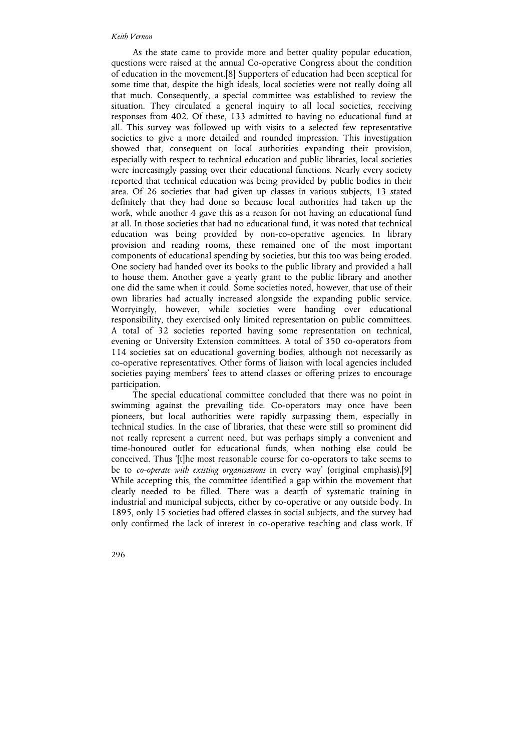As the state came to provide more and better quality popular education, questions were raised at the annual Co-operative Congress about the condition of education in the movement.[8] Supporters of education had been sceptical for some time that, despite the high ideals, local societies were not really doing all that much. Consequently, a special committee was established to review the situation. They circulated a general inquiry to all local societies, receiving responses from 402. Of these, 133 admitted to having no educational fund at all. This survey was followed up with visits to a selected few representative societies to give a more detailed and rounded impression. This investigation showed that, consequent on local authorities expanding their provision, especially with respect to technical education and public libraries, local societies were increasingly passing over their educational functions. Nearly every society reported that technical education was being provided by public bodies in their area. Of 26 societies that had given up classes in various subjects, 13 stated definitely that they had done so because local authorities had taken up the work, while another 4 gave this as a reason for not having an educational fund at all. In those societies that had no educational fund, it was noted that technical education was being provided by non-co-operative agencies. In library provision and reading rooms, these remained one of the most important components of educational spending by societies, but this too was being eroded. One society had handed over its books to the public library and provided a hall to house them. Another gave a yearly grant to the public library and another one did the same when it could. Some societies noted, however, that use of their own libraries had actually increased alongside the expanding public service. Worryingly, however, while societies were handing over educational responsibility, they exercised only limited representation on public committees. A total of 32 societies reported having some representation on technical, evening or University Extension committees. A total of 350 co-operators from 114 societies sat on educational governing bodies, although not necessarily as co-operative representatives. Other forms of liaison with local agencies included societies paying members' fees to attend classes or offering prizes to encourage participation.

The special educational committee concluded that there was no point in swimming against the prevailing tide. Co-operators may once have been pioneers, but local authorities were rapidly surpassing them, especially in technical studies. In the case of libraries, that these were still so prominent did not really represent a current need, but was perhaps simply a convenient and time-honoured outlet for educational funds, when nothing else could be conceived. Thus '[t]he most reasonable course for co-operators to take seems to be to *co-operate with existing organisations* in every way' (original emphasis).[9] While accepting this, the committee identified a gap within the movement that clearly needed to be filled. There was a dearth of systematic training in industrial and municipal subjects, either by co-operative or any outside body. In 1895, only 15 societies had offered classes in social subjects, and the survey had only confirmed the lack of interest in co-operative teaching and class work. If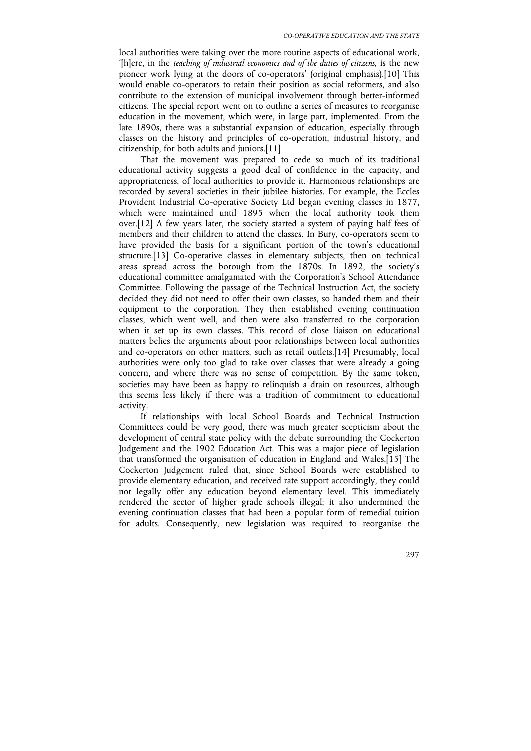local authorities were taking over the more routine aspects of educational work, '[h]ere, in the *teaching of industrial economics and of the duties of citizens*, is the new pioneer work lying at the doors of co-operators' (original emphasis).[10] This would enable co-operators to retain their position as social reformers, and also contribute to the extension of municipal involvement through better-informed citizens. The special report went on to outline a series of measures to reorganise education in the movement, which were, in large part, implemented. From the late 1890s, there was a substantial expansion of education, especially through classes on the history and principles of co-operation, industrial history, and citizenship, for both adults and juniors.[11]

That the movement was prepared to cede so much of its traditional educational activity suggests a good deal of confidence in the capacity, and appropriateness, of local authorities to provide it. Harmonious relationships are recorded by several societies in their jubilee histories. For example, the Eccles Provident Industrial Co-operative Society Ltd began evening classes in 1877, which were maintained until 1895 when the local authority took them over.[12] A few years later, the society started a system of paying half fees of members and their children to attend the classes. In Bury, co-operators seem to have provided the basis for a significant portion of the town's educational structure.[13] Co-operative classes in elementary subjects, then on technical areas spread across the borough from the 1870s. In 1892, the society's educational committee amalgamated with the Corporation's School Attendance Committee. Following the passage of the Technical Instruction Act, the society decided they did not need to offer their own classes, so handed them and their equipment to the corporation. They then established evening continuation classes, which went well, and then were also transferred to the corporation when it set up its own classes. This record of close liaison on educational matters belies the arguments about poor relationships between local authorities and co-operators on other matters, such as retail outlets.[14] Presumably, local authorities were only too glad to take over classes that were already a going concern, and where there was no sense of competition. By the same token, societies may have been as happy to relinquish a drain on resources, although this seems less likely if there was a tradition of commitment to educational activity.

If relationships with local School Boards and Technical Instruction Committees could be very good, there was much greater scepticism about the development of central state policy with the debate surrounding the Cockerton Judgement and the 1902 Education Act. This was a major piece of legislation that transformed the organisation of education in England and Wales.[15] The Cockerton Judgement ruled that, since School Boards were established to provide elementary education, and received rate support accordingly, they could not legally offer any education beyond elementary level. This immediately rendered the sector of higher grade schools illegal; it also undermined the evening continuation classes that had been a popular form of remedial tuition for adults. Consequently, new legislation was required to reorganise the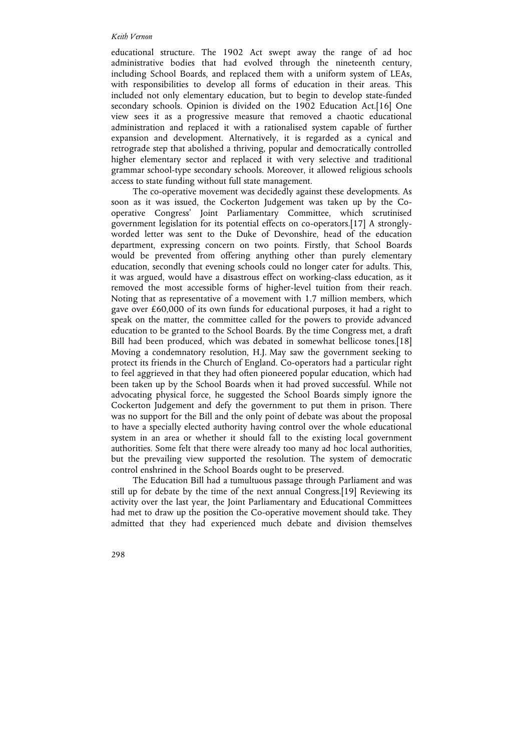educational structure. The 1902 Act swept away the range of ad hoc administrative bodies that had evolved through the nineteenth century, including School Boards, and replaced them with a uniform system of LEAs, with responsibilities to develop all forms of education in their areas. This included not only elementary education, but to begin to develop state-funded secondary schools. Opinion is divided on the 1902 Education Act.[16] One view sees it as a progressive measure that removed a chaotic educational administration and replaced it with a rationalised system capable of further expansion and development. Alternatively, it is regarded as a cynical and retrograde step that abolished a thriving, popular and democratically controlled higher elementary sector and replaced it with very selective and traditional grammar school-type secondary schools. Moreover, it allowed religious schools access to state funding without full state management.

The co-operative movement was decidedly against these developments. As soon as it was issued, the Cockerton Judgement was taken up by the Cooperative Congress' Joint Parliamentary Committee, which scrutinised government legislation for its potential effects on co-operators.[17] A stronglyworded letter was sent to the Duke of Devonshire, head of the education department, expressing concern on two points. Firstly, that School Boards would be prevented from offering anything other than purely elementary education, secondly that evening schools could no longer cater for adults. This, it was argued, would have a disastrous effect on working-class education, as it removed the most accessible forms of higher-level tuition from their reach. Noting that as representative of a movement with 1.7 million members, which gave over £60,000 of its own funds for educational purposes, it had a right to speak on the matter, the committee called for the powers to provide advanced education to be granted to the School Boards. By the time Congress met, a draft Bill had been produced, which was debated in somewhat bellicose tones.[18] Moving a condemnatory resolution, H.J. May saw the government seeking to protect its friends in the Church of England. Co-operators had a particular right to feel aggrieved in that they had often pioneered popular education, which had been taken up by the School Boards when it had proved successful. While not advocating physical force, he suggested the School Boards simply ignore the Cockerton Judgement and defy the government to put them in prison. There was no support for the Bill and the only point of debate was about the proposal to have a specially elected authority having control over the whole educational system in an area or whether it should fall to the existing local government authorities. Some felt that there were already too many ad hoc local authorities, but the prevailing view supported the resolution. The system of democratic control enshrined in the School Boards ought to be preserved.

The Education Bill had a tumultuous passage through Parliament and was still up for debate by the time of the next annual Congress.[19] Reviewing its activity over the last year, the Joint Parliamentary and Educational Committees had met to draw up the position the Co-operative movement should take. They admitted that they had experienced much debate and division themselves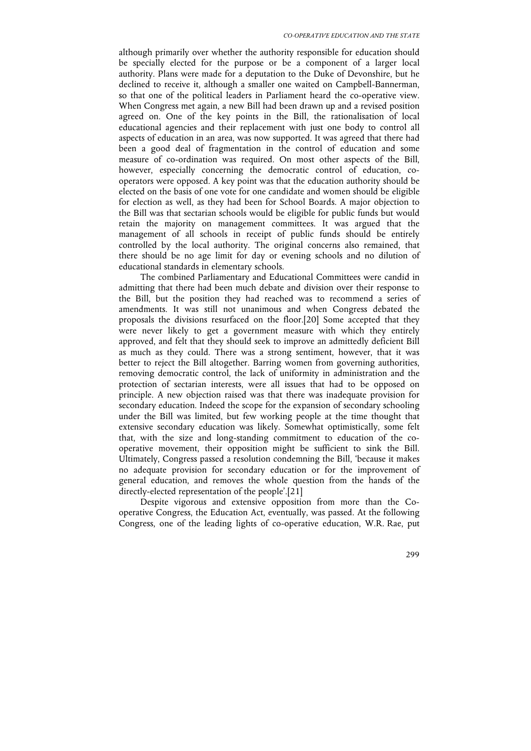although primarily over whether the authority responsible for education should be specially elected for the purpose or be a component of a larger local authority. Plans were made for a deputation to the Duke of Devonshire, but he declined to receive it, although a smaller one waited on Campbell-Bannerman, so that one of the political leaders in Parliament heard the co-operative view. When Congress met again, a new Bill had been drawn up and a revised position agreed on. One of the key points in the Bill, the rationalisation of local educational agencies and their replacement with just one body to control all aspects of education in an area, was now supported. It was agreed that there had been a good deal of fragmentation in the control of education and some measure of co-ordination was required. On most other aspects of the Bill, however, especially concerning the democratic control of education, cooperators were opposed. A key point was that the education authority should be elected on the basis of one vote for one candidate and women should be eligible for election as well, as they had been for School Boards. A major objection to the Bill was that sectarian schools would be eligible for public funds but would retain the majority on management committees. It was argued that the management of all schools in receipt of public funds should be entirely controlled by the local authority. The original concerns also remained, that there should be no age limit for day or evening schools and no dilution of educational standards in elementary schools.

The combined Parliamentary and Educational Committees were candid in admitting that there had been much debate and division over their response to the Bill, but the position they had reached was to recommend a series of amendments. It was still not unanimous and when Congress debated the proposals the divisions resurfaced on the floor.[20] Some accepted that they were never likely to get a government measure with which they entirely approved, and felt that they should seek to improve an admittedly deficient Bill as much as they could. There was a strong sentiment, however, that it was better to reject the Bill altogether. Barring women from governing authorities, removing democratic control, the lack of uniformity in administration and the protection of sectarian interests, were all issues that had to be opposed on principle. A new objection raised was that there was inadequate provision for secondary education. Indeed the scope for the expansion of secondary schooling under the Bill was limited, but few working people at the time thought that extensive secondary education was likely. Somewhat optimistically, some felt that, with the size and long-standing commitment to education of the cooperative movement, their opposition might be sufficient to sink the Bill. Ultimately, Congress passed a resolution condemning the Bill, 'because it makes no adequate provision for secondary education or for the improvement of general education, and removes the whole question from the hands of the directly-elected representation of the people'.[21]

Despite vigorous and extensive opposition from more than the Cooperative Congress, the Education Act, eventually, was passed. At the following Congress, one of the leading lights of co-operative education, W.R. Rae, put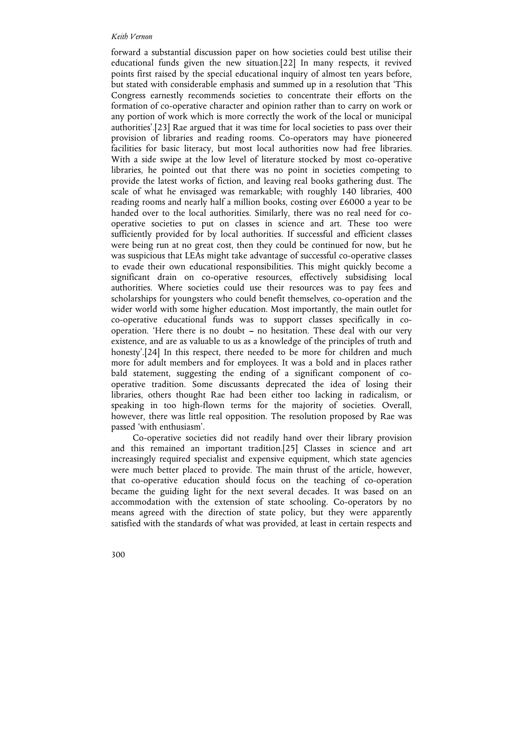forward a substantial discussion paper on how societies could best utilise their educational funds given the new situation.[22] In many respects, it revived points first raised by the special educational inquiry of almost ten years before, but stated with considerable emphasis and summed up in a resolution that 'This Congress earnestly recommends societies to concentrate their efforts on the formation of co-operative character and opinion rather than to carry on work or any portion of work which is more correctly the work of the local or municipal authorities'.[23] Rae argued that it was time for local societies to pass over their provision of libraries and reading rooms. Co-operators may have pioneered facilities for basic literacy, but most local authorities now had free libraries. With a side swipe at the low level of literature stocked by most co-operative libraries, he pointed out that there was no point in societies competing to provide the latest works of fiction, and leaving real books gathering dust. The scale of what he envisaged was remarkable; with roughly 140 libraries, 400 reading rooms and nearly half a million books, costing over £6000 a year to be handed over to the local authorities. Similarly, there was no real need for cooperative societies to put on classes in science and art. These too were sufficiently provided for by local authorities. If successful and efficient classes were being run at no great cost, then they could be continued for now, but he was suspicious that LEAs might take advantage of successful co-operative classes to evade their own educational responsibilities. This might quickly become a significant drain on co-operative resources, effectively subsidising local authorities. Where societies could use their resources was to pay fees and scholarships for youngsters who could benefit themselves, co-operation and the wider world with some higher education. Most importantly, the main outlet for co-operative educational funds was to support classes specifically in cooperation. 'Here there is no doubt  $-$  no hesitation. These deal with our very existence, and are as valuable to us as a knowledge of the principles of truth and honesty'.<sup>[24]</sup> In this respect, there needed to be more for children and much more for adult members and for employees. It was a bold and in places rather bald statement, suggesting the ending of a significant component of cooperative tradition. Some discussants deprecated the idea of losing their libraries, others thought Rae had been either too lacking in radicalism, or speaking in too high-flown terms for the majority of societies. Overall, however, there was little real opposition. The resolution proposed by Rae was passed 'with enthusiasm'.

Co-operative societies did not readily hand over their library provision and this remained an important tradition.[25] Classes in science and art increasingly required specialist and expensive equipment, which state agencies were much better placed to provide. The main thrust of the article, however, that co-operative education should focus on the teaching of co-operation became the guiding light for the next several decades. It was based on an accommodation with the extension of state schooling. Co-operators by no means agreed with the direction of state policy, but they were apparently satisfied with the standards of what was provided, at least in certain respects and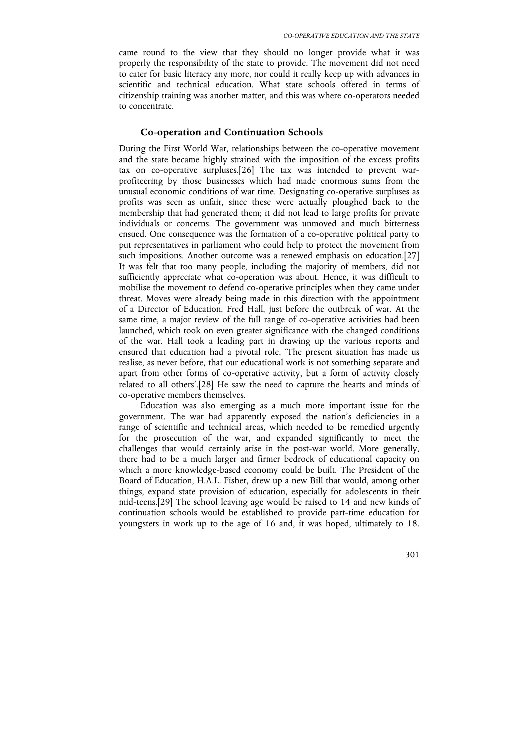came round to the view that they should no longer provide what it was properly the responsibility of the state to provide. The movement did not need to cater for basic literacy any more, nor could it really keep up with advances in scientific and technical education. What state schools offered in terms of citizenship training was another matter, and this was where co-operators needed to concentrate.

## **Co-operation and Continuation Schools**

During the First World War, relationships between the co-operative movement and the state became highly strained with the imposition of the excess profits tax on co-operative surpluses.[26] The tax was intended to prevent warprofiteering by those businesses which had made enormous sums from the unusual economic conditions of war time. Designating co-operative surpluses as profits was seen as unfair, since these were actually ploughed back to the membership that had generated them; it did not lead to large profits for private individuals or concerns. The government was unmoved and much bitterness ensued. One consequence was the formation of a co-operative political party to put representatives in parliament who could help to protect the movement from such impositions. Another outcome was a renewed emphasis on education.[27] It was felt that too many people, including the majority of members, did not sufficiently appreciate what co-operation was about. Hence, it was difficult to mobilise the movement to defend co-operative principles when they came under threat. Moves were already being made in this direction with the appointment of a Director of Education, Fred Hall, just before the outbreak of war. At the same time, a major review of the full range of co-operative activities had been launched, which took on even greater significance with the changed conditions of the war. Hall took a leading part in drawing up the various reports and ensured that education had a pivotal role. 'The present situation has made us realise, as never before, that our educational work is not something separate and apart from other forms of co-operative activity, but a form of activity closely related to all others'.[28] He saw the need to capture the hearts and minds of co-operative members themselves.

Education was also emerging as a much more important issue for the government. The war had apparently exposed the nation's deficiencies in a range of scientific and technical areas, which needed to be remedied urgently for the prosecution of the war, and expanded significantly to meet the challenges that would certainly arise in the post-war world. More generally, there had to be a much larger and firmer bedrock of educational capacity on which a more knowledge-based economy could be built. The President of the Board of Education, H.A.L. Fisher, drew up a new Bill that would, among other things, expand state provision of education, especially for adolescents in their mid-teens.[29] The school leaving age would be raised to 14 and new kinds of continuation schools would be established to provide part-time education for youngsters in work up to the age of 16 and, it was hoped, ultimately to 18.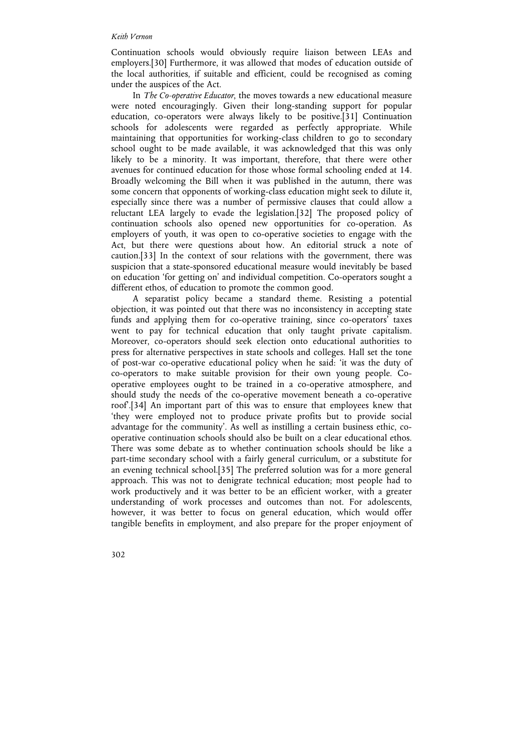Continuation schools would obviously require liaison between LEAs and employers.[30] Furthermore, it was allowed that modes of education outside of the local authorities, if suitable and efficient, could be recognised as coming under the auspices of the Act.

In *The Co-operative Educator*, the moves towards a new educational measure were noted encouragingly. Given their long-standing support for popular education, co-operators were always likely to be positive.[31] Continuation schools for adolescents were regarded as perfectly appropriate. While maintaining that opportunities for working-class children to go to secondary school ought to be made available, it was acknowledged that this was only likely to be a minority. It was important, therefore, that there were other avenues for continued education for those whose formal schooling ended at 14. Broadly welcoming the Bill when it was published in the autumn, there was some concern that opponents of working-class education might seek to dilute it, especially since there was a number of permissive clauses that could allow a reluctant LEA largely to evade the legislation.[32] The proposed policy of continuation schools also opened new opportunities for co-operation. As employers of youth, it was open to co-operative societies to engage with the Act, but there were questions about how. An editorial struck a note of caution.[33] In the context of sour relations with the government, there was suspicion that a state-sponsored educational measure would inevitably be based on education 'for getting on' and individual competition. Co-operators sought a different ethos, of education to promote the common good.

A separatist policy became a standard theme. Resisting a potential objection, it was pointed out that there was no inconsistency in accepting state funds and applying them for co-operative training, since co-operators' taxes went to pay for technical education that only taught private capitalism. Moreover, co-operators should seek election onto educational authorities to press for alternative perspectives in state schools and colleges. Hall set the tone of post-war co-operative educational policy when he said: 'it was the duty of co-operators to make suitable provision for their own young people. Cooperative employees ought to be trained in a co-operative atmosphere, and should study the needs of the co-operative movement beneath a co-operative roof'.[34] An important part of this was to ensure that employees knew that 'they were employed not to produce private profits but to provide social advantage for the community'. As well as instilling a certain business ethic, cooperative continuation schools should also be built on a clear educational ethos. There was some debate as to whether continuation schools should be like a part-time secondary school with a fairly general curriculum, or a substitute for an evening technical school.[35] The preferred solution was for a more general approach. This was not to denigrate technical education; most people had to work productively and it was better to be an efficient worker, with a greater understanding of work processes and outcomes than not. For adolescents, however, it was better to focus on general education, which would offer tangible benefits in employment, and also prepare for the proper enjoyment of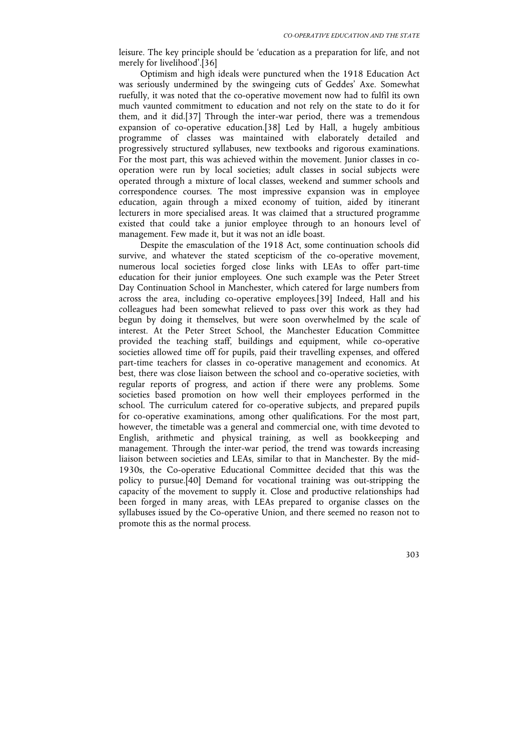leisure. The key principle should be 'education as a preparation for life, and not merely for livelihood'.[36]

Optimism and high ideals were punctured when the 1918 Education Act was seriously undermined by the swingeing cuts of Geddes' Axe. Somewhat ruefully, it was noted that the co-operative movement now had to fulfil its own much vaunted commitment to education and not rely on the state to do it for them, and it did.[37] Through the inter-war period, there was a tremendous expansion of co-operative education.[38] Led by Hall, a hugely ambitious programme of classes was maintained with elaborately detailed and progressively structured syllabuses, new textbooks and rigorous examinations. For the most part, this was achieved within the movement. Junior classes in cooperation were run by local societies; adult classes in social subjects were operated through a mixture of local classes, weekend and summer schools and correspondence courses. The most impressive expansion was in employee education, again through a mixed economy of tuition, aided by itinerant lecturers in more specialised areas. It was claimed that a structured programme existed that could take a junior employee through to an honours level of management. Few made it, but it was not an idle boast.

Despite the emasculation of the 1918 Act, some continuation schools did survive, and whatever the stated scepticism of the co-operative movement, numerous local societies forged close links with LEAs to offer part-time education for their junior employees. One such example was the Peter Street Day Continuation School in Manchester, which catered for large numbers from across the area, including co-operative employees.[39] Indeed, Hall and his colleagues had been somewhat relieved to pass over this work as they had begun by doing it themselves, but were soon overwhelmed by the scale of interest. At the Peter Street School, the Manchester Education Committee provided the teaching staff, buildings and equipment, while co-operative societies allowed time off for pupils, paid their travelling expenses, and offered part-time teachers for classes in co-operative management and economics. At best, there was close liaison between the school and co-operative societies, with regular reports of progress, and action if there were any problems. Some societies based promotion on how well their employees performed in the school. The curriculum catered for co-operative subjects, and prepared pupils for co-operative examinations, among other qualifications. For the most part, however, the timetable was a general and commercial one, with time devoted to English, arithmetic and physical training, as well as bookkeeping and management. Through the inter-war period, the trend was towards increasing liaison between societies and LEAs, similar to that in Manchester. By the mid-1930s, the Co-operative Educational Committee decided that this was the policy to pursue.[40] Demand for vocational training was out-stripping the capacity of the movement to supply it. Close and productive relationships had been forged in many areas, with LEAs prepared to organise classes on the syllabuses issued by the Co-operative Union, and there seemed no reason not to promote this as the normal process.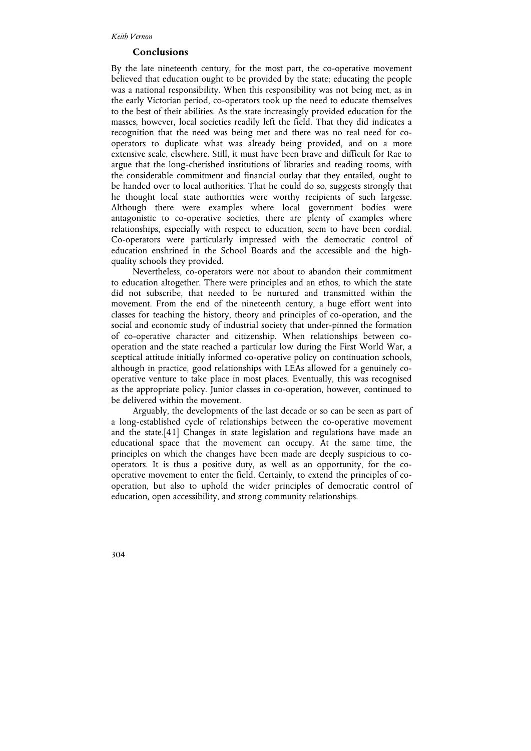## **Conclusions**

By the late nineteenth century, for the most part, the co-operative movement believed that education ought to be provided by the state; educating the people was a national responsibility. When this responsibility was not being met, as in the early Victorian period, co-operators took up the need to educate themselves to the best of their abilities. As the state increasingly provided education for the masses, however, local societies readily left the field. That they did indicates a recognition that the need was being met and there was no real need for cooperators to duplicate what was already being provided, and on a more extensive scale, elsewhere. Still, it must have been brave and difficult for Rae to argue that the long-cherished institutions of libraries and reading rooms, with the considerable commitment and financial outlay that they entailed, ought to be handed over to local authorities. That he could do so, suggests strongly that he thought local state authorities were worthy recipients of such largesse. Although there were examples where local government bodies were antagonistic to co-operative societies, there are plenty of examples where relationships, especially with respect to education, seem to have been cordial. Co-operators were particularly impressed with the democratic control of education enshrined in the School Boards and the accessible and the highquality schools they provided.

Nevertheless, co-operators were not about to abandon their commitment to education altogether. There were principles and an ethos, to which the state did not subscribe, that needed to be nurtured and transmitted within the movement. From the end of the nineteenth century, a huge effort went into classes for teaching the history, theory and principles of co-operation, and the social and economic study of industrial society that under-pinned the formation of co-operative character and citizenship. When relationships between cooperation and the state reached a particular low during the First World War, a sceptical attitude initially informed co-operative policy on continuation schools, although in practice, good relationships with LEAs allowed for a genuinely cooperative venture to take place in most places. Eventually, this was recognised as the appropriate policy. Junior classes in co-operation, however, continued to be delivered within the movement.

Arguably, the developments of the last decade or so can be seen as part of a long-established cycle of relationships between the co-operative movement and the state.[41] Changes in state legislation and regulations have made an educational space that the movement can occupy. At the same time, the principles on which the changes have been made are deeply suspicious to cooperators. It is thus a positive duty, as well as an opportunity, for the cooperative movement to enter the field. Certainly, to extend the principles of cooperation, but also to uphold the wider principles of democratic control of education, open accessibility, and strong community relationships.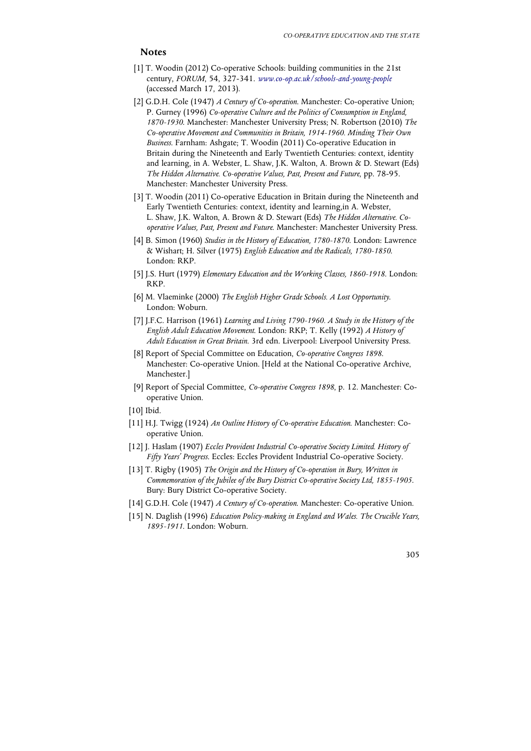## **Notes**

- [1] T. Woodin (2012) Co-operative Schools: building communities in the 21st century, *FORUM*, 54, 327-341. *www.co-op.ac.uk/schools-and-young-people* (accessed March 17, 2013).
- [2] G.D.H. Cole (1947) *A Century of Co-operation*. Manchester: Co-operative Union; P. Gurney (1996) *Co-operative Culture and the Politics of Consumption in England, 1870-1930*. Manchester: Manchester University Press; N. Robertson (2010) *The Co-operative Movement and Communities in Britain, 1914-1960. Minding Their Own Business*. Farnham: Ashgate; T. Woodin (2011) Co-operative Education in Britain during the Nineteenth and Early Twentieth Centuries: context, identity and learning, in A. Webster, L. Shaw, J.K. Walton, A. Brown & D. Stewart (Eds) *The Hidden Alternative. Co-operative Values, Past, Present and Future*, pp. 78-95. Manchester: Manchester University Press.
- [3] T. Woodin (2011) Co-operative Education in Britain during the Nineteenth and Early Twentieth Centuries: context, identity and learning,in A. Webster, L. Shaw, J.K. Walton, A. Brown & D. Stewart (Eds) *The Hidden Alternative. Cooperative Values, Past, Present and Future*. Manchester: Manchester University Press.
- [4] B. Simon (1960) *Studies in the History of Education, 1780-1870*. London: Lawrence & Wishart; H. Silver (1975) *English Education and the Radicals, 1780-1850*. London: RKP.
- [5] J.S. Hurt (1979) *Elementary Education and the Working Classes, 1860-1918*. London: RKP.
- [6] M. Vlaeminke (2000) *The English Higher Grade Schools. A Lost Opportunity*. London: Woburn.
- [7] J.F.C. Harrison (1961) *Learning and Living 1790-1960. A Study in the History of the English Adult Education Movement*. London: RKP; T. Kelly (1992) *A History of Adult Education in Great Britain*. 3rd edn. Liverpool: Liverpool University Press.
- [8] Report of Special Committee on Education, *Co-operative Congress 1898*. Manchester: Co-operative Union. [Held at the National Co-operative Archive, Manchester.]
- [9] Report of Special Committee, *Co-operative Congress 1898*, p. 12. Manchester: Cooperative Union.
- [10] Ibid.
- [11] H.J. Twigg (1924) *An Outline History of Co-operative Education*. Manchester: Cooperative Union.
- [12] J. Haslam (1907) *Eccles Provident Industrial Co-operative Society Limited. History of Fifty Years' Progress*. Eccles: Eccles Provident Industrial Co-operative Society.
- [13] T. Rigby (1905) *The Origin and the History of Co-operation in Bury, Written in Commemoration of the Jubilee of the Bury District Co-operative Society Ltd, 1855-1905*. Bury: Bury District Co-operative Society.
- [14] G.D.H. Cole (1947) *A Century of Co-operation*. Manchester: Co-operative Union.
- [15] N. Daglish (1996) *Education Policy-making in England and Wales. The Crucible Years, 1895-1911*. London: Woburn.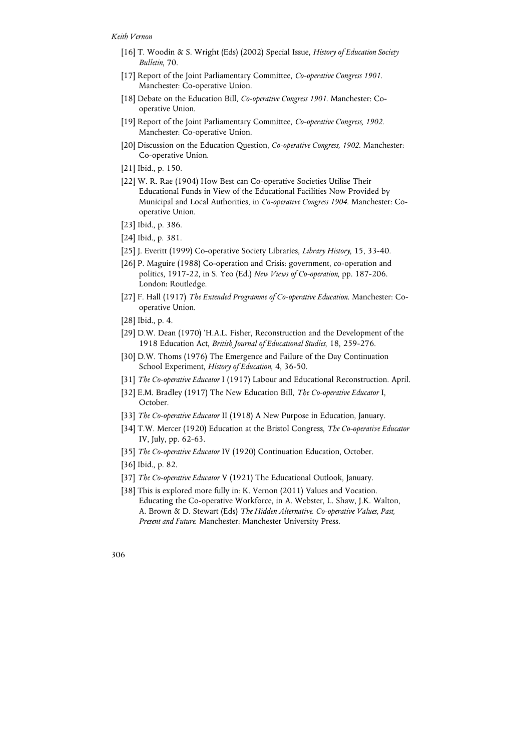- [16] T. Woodin & S. Wright (Eds) (2002) Special Issue, *History of Education Society Bulletin*, 70.
- [17] Report of the Joint Parliamentary Committee, *Co-operative Congress 1901*. Manchester: Co-operative Union.
- [18] Debate on the Education Bill, *Co-operative Congress 1901*. Manchester: Cooperative Union.
- [19] Report of the Joint Parliamentary Committee, *Co-operative Congress, 1902*. Manchester: Co-operative Union.
- [20] Discussion on the Education Question, *Co-operative Congress, 1902*. Manchester: Co-operative Union.
- [21] Ibid., p. 150.
- [22] W. R. Rae (1904) How Best can Co-operative Societies Utilise Their Educational Funds in View of the Educational Facilities Now Provided by Municipal and Local Authorities, in *Co-operative Congress 1904*. Manchester: Cooperative Union.
- [23] Ibid., p. 386.
- [24] Ibid., p. 381.
- [25] J. Everitt (1999) Co-operative Society Libraries, *Library History*, 15, 33-40.
- [26] P. Maguire (1988) Co-operation and Crisis: government, co-operation and politics, 1917-22, in S. Yeo (Ed.) *New Views of Co-operation*, pp. 187-206. London: Routledge.
- [27] F. Hall (1917) *The Extended Programme of Co-operative Education*. Manchester: Cooperative Union.
- [28] Ibid., p. 4.
- [29] D.W. Dean (1970) 'H.A.L. Fisher, Reconstruction and the Development of the 1918 Education Act, *British Journal of Educational Studies*, 18, 259-276.
- [30] D.W. Thoms (1976) The Emergence and Failure of the Day Continuation School Experiment, *History of Education*, 4, 36-50.
- [31] *The Co-operative Educator* I (1917) Labour and Educational Reconstruction. April.
- [32] E.M. Bradley (1917) The New Education Bill, *The Co-operative Educator* I, October.
- [33] *The Co-operative Educator* II (1918) A New Purpose in Education, January.
- [34] T.W. Mercer (1920) Education at the Bristol Congress, *The Co-operative Educator* IV, July, pp. 62-63.
- [35] *The Co-operative Educator* IV (1920) Continuation Education, October.
- [36] Ibid., p. 82.
- [37] *The Co-operative Educator* V (1921) The Educational Outlook, January.
- [38] This is explored more fully in: K. Vernon (2011) Values and Vocation. Educating the Co-operative Workforce, in A. Webster, L. Shaw, J.K. Walton, A. Brown & D. Stewart (Eds) *The Hidden Alternative. Co-operative Values, Past, Present and Future*. Manchester: Manchester University Press.